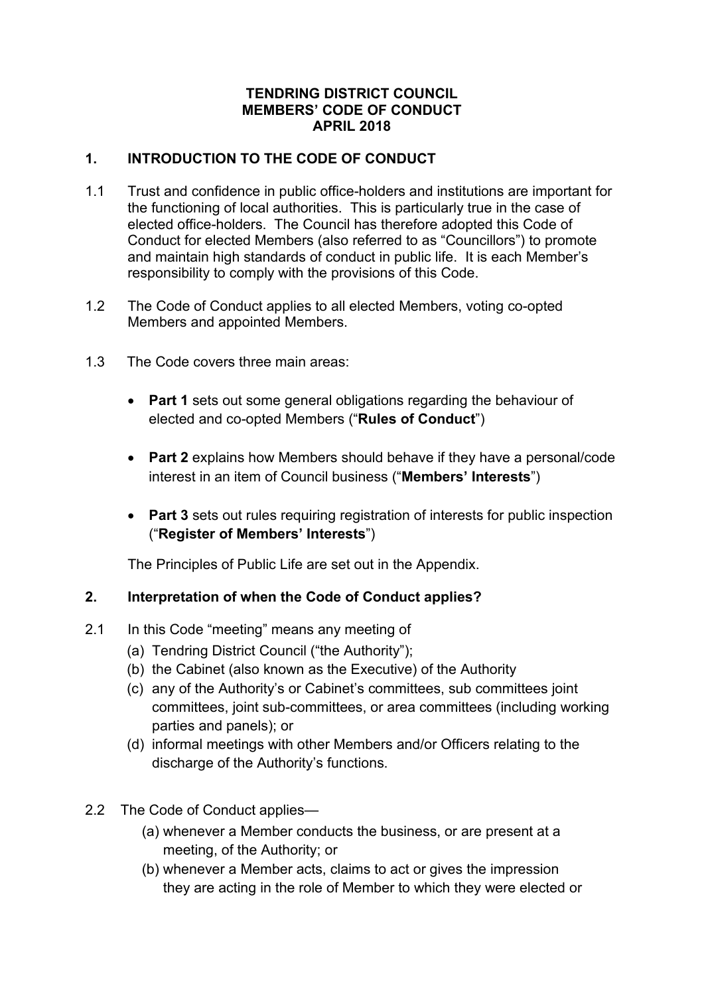### **TENDRING DISTRICT COUNCIL MEMBERS' CODE OF CONDUCT APRIL 2018**

## **1. INTRODUCTION TO THE CODE OF CONDUCT**

- 1.1 Trust and confidence in public office-holders and institutions are important for the functioning of local authorities. This is particularly true in the case of elected office-holders. The Council has therefore adopted this Code of Conduct for elected Members (also referred to as "Councillors") to promote and maintain high standards of conduct in public life. It is each Member's responsibility to comply with the provisions of this Code.
- 1.2 The Code of Conduct applies to all elected Members, voting co-opted Members and appointed Members.
- 1.3 The Code covers three main areas:
	- **Part 1** sets out some general obligations regarding the behaviour of elected and co-opted Members ("**Rules of Conduct**")
	- **Part 2** explains how Members should behave if they have a personal/code interest in an item of Council business ("**Members' Interests**")
	- **Part 3** sets out rules requiring registration of interests for public inspection ("**Register of Members' Interests**")

The Principles of Public Life are set out in the Appendix.

## **2. Interpretation of when the Code of Conduct applies?**

- 2.1 In this Code "meeting" means any meeting of
	- (a) Tendring District Council ("the Authority");
	- (b) the Cabinet (also known as the Executive) of the Authority
	- (c) any of the Authority's or Cabinet's committees, sub committees joint committees, joint sub-committees, or area committees (including working parties and panels); or
	- (d) informal meetings with other Members and/or Officers relating to the discharge of the Authority's functions.
- 2.2 The Code of Conduct applies—
	- (a) whenever a Member conducts the business, or are present at a meeting, of the Authority; or
	- (b) whenever a Member acts, claims to act or gives the impression they are acting in the role of Member to which they were elected or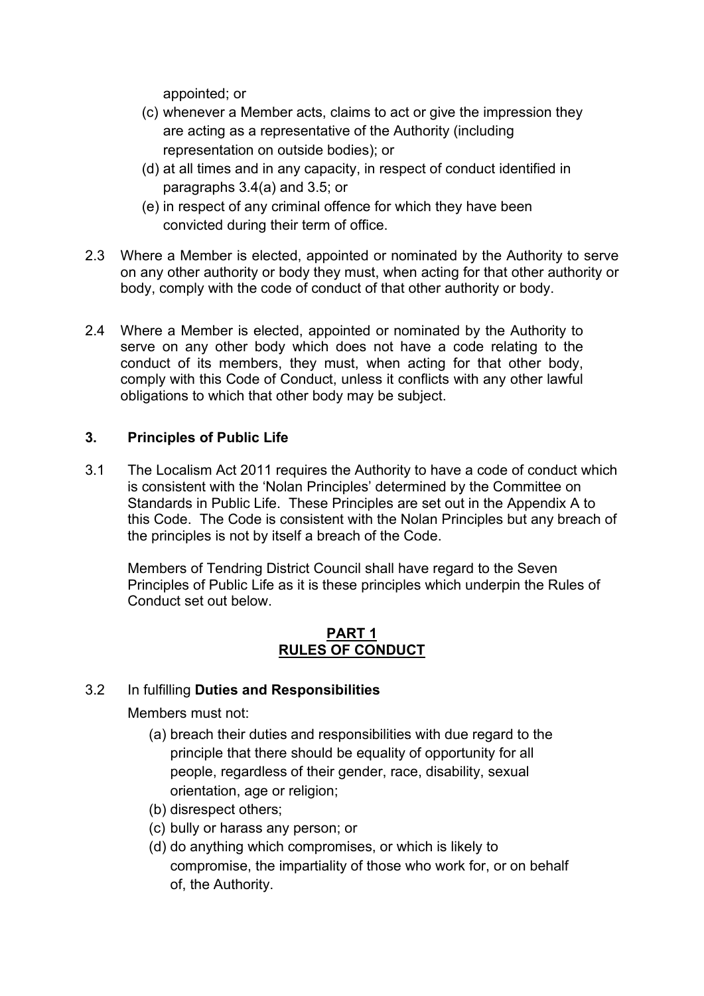appointed; or

- (c) whenever a Member acts, claims to act or give the impression they are acting as a representative of the Authority (including representation on outside bodies); or
- (d) at all times and in any capacity, in respect of conduct identified in paragraphs 3.4(a) and 3.5; or
- (e) in respect of any criminal offence for which they have been convicted during their term of office.
- 2.3 Where a Member is elected, appointed or nominated by the Authority to serve on any other authority or body they must, when acting for that other authority or body, comply with the code of conduct of that other authority or body.
- 2.4 Where a Member is elected, appointed or nominated by the Authority to serve on any other body which does not have a code relating to the conduct of its members, they must, when acting for that other body, comply with this Code of Conduct, unless it conflicts with any other lawful obligations to which that other body may be subject.

## **3. Principles of Public Life**

3.1 The Localism Act 2011 requires the Authority to have a code of conduct which is consistent with the 'Nolan Principles' determined by the Committee on Standards in Public Life. These Principles are set out in the Appendix A to this Code. The Code is consistent with the Nolan Principles but any breach of the principles is not by itself a breach of the Code.

 Members of Tendring District Council shall have regard to the Seven Principles of Public Life as it is these principles which underpin the Rules of Conduct set out below.

### **PART 1 RULES OF CONDUCT**

## 3.2 In fulfilling **Duties and Responsibilities**

Members must not:

- (a) breach their duties and responsibilities with due regard to the principle that there should be equality of opportunity for all people, regardless of their gender, race, disability, sexual orientation, age or religion;
- (b) disrespect others;
- (c) bully or harass any person; or
- (d) do anything which compromises, or which is likely to compromise, the impartiality of those who work for, or on behalf of, the Authority.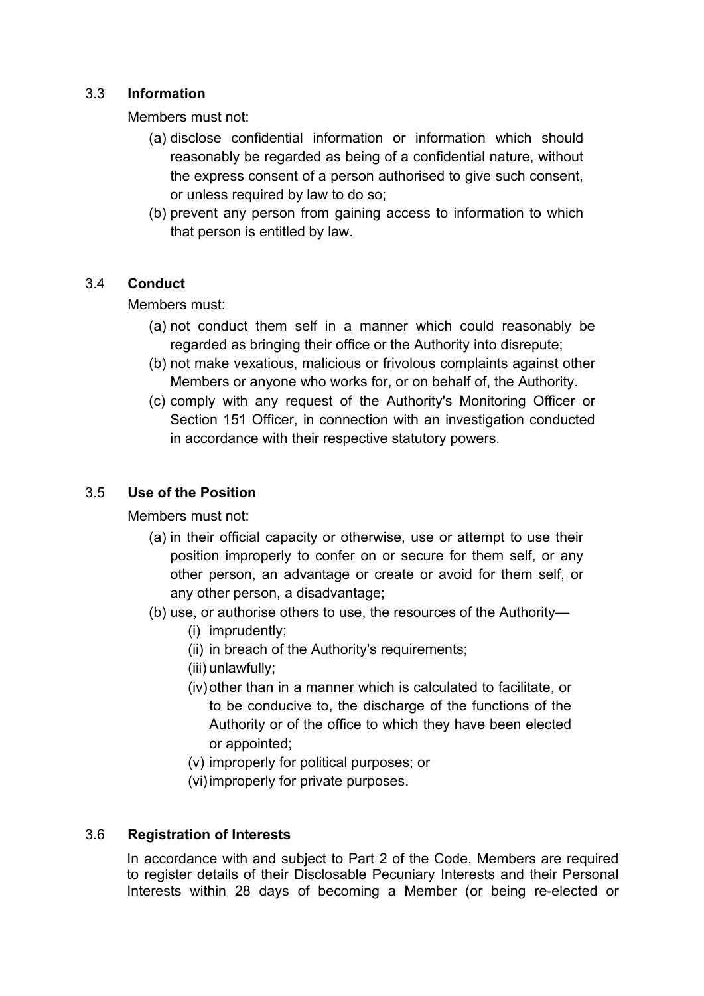### 3.3 **Information**

Members must not:

- (a) disclose confidential information or information which should reasonably be regarded as being of a confidential nature, without the express consent of a person authorised to give such consent, or unless required by law to do so;
- (b) prevent any person from gaining access to information to which that person is entitled by law.

### 3.4 **Conduct**

Members must:

- (a) not conduct them self in a manner which could reasonably be regarded as bringing their office or the Authority into disrepute;
- (b) not make vexatious, malicious or frivolous complaints against other Members or anyone who works for, or on behalf of, the Authority.
- (c) comply with any request of the Authority's Monitoring Officer or Section 151 Officer, in connection with an investigation conducted in accordance with their respective statutory powers.

## 3.5 **Use of the Position**

Members must not:

- (a) in their official capacity or otherwise, use or attempt to use their position improperly to confer on or secure for them self, or any other person, an advantage or create or avoid for them self, or any other person, a disadvantage;
- (b) use, or authorise others to use, the resources of the Authority—
	- (i) imprudently;
	- (ii) in breach of the Authority's requirements;
	- (iii) unlawfully;
	- (iv) other than in a manner which is calculated to facilitate, or to be conducive to, the discharge of the functions of the Authority or of the office to which they have been elected or appointed;
	- (v) improperly for political purposes; or
	- (vi) improperly for private purposes.

## 3.6 **Registration of Interests**

In accordance with and subject to Part 2 of the Code, Members are required to register details of their Disclosable Pecuniary Interests and their Personal Interests within 28 days of becoming a Member (or being re-elected or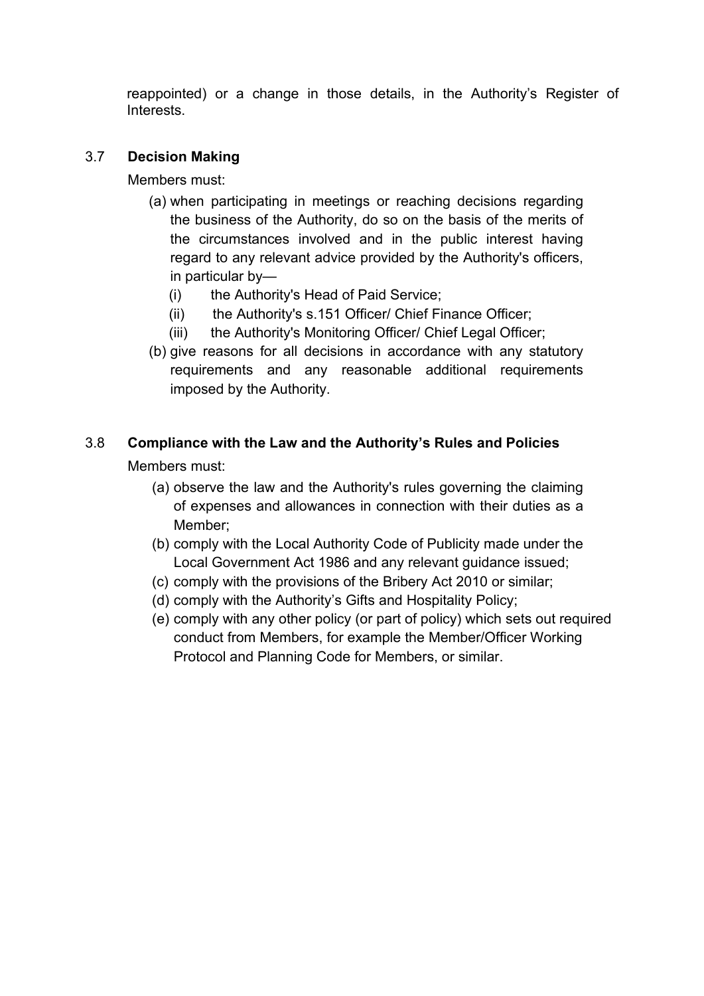reappointed) or a change in those details, in the Authority's Register of Interests.

## 3.7 **Decision Making**

Members must:

- (a) when participating in meetings or reaching decisions regarding the business of the Authority, do so on the basis of the merits of the circumstances involved and in the public interest having regard to any relevant advice provided by the Authority's officers, in particular by—
	- (i) the Authority's Head of Paid Service;
	- (ii) the Authority's s.151 Officer/ Chief Finance Officer;
	- (iii) the Authority's Monitoring Officer/ Chief Legal Officer;
- (b) give reasons for all decisions in accordance with any statutory requirements and any reasonable additional requirements imposed by the Authority.

# 3.8 **Compliance with the Law and the Authority's Rules and Policies**

Members must:

- (a) observe the law and the Authority's rules governing the claiming of expenses and allowances in connection with their duties as a Member;
- (b) comply with the Local Authority Code of Publicity made under the Local Government Act 1986 and any relevant guidance issued;
- (c) comply with the provisions of the Bribery Act 2010 or similar;
- (d) comply with the Authority's Gifts and Hospitality Policy;
- (e) comply with any other policy (or part of policy) which sets out required conduct from Members, for example the Member/Officer Working Protocol and Planning Code for Members, or similar.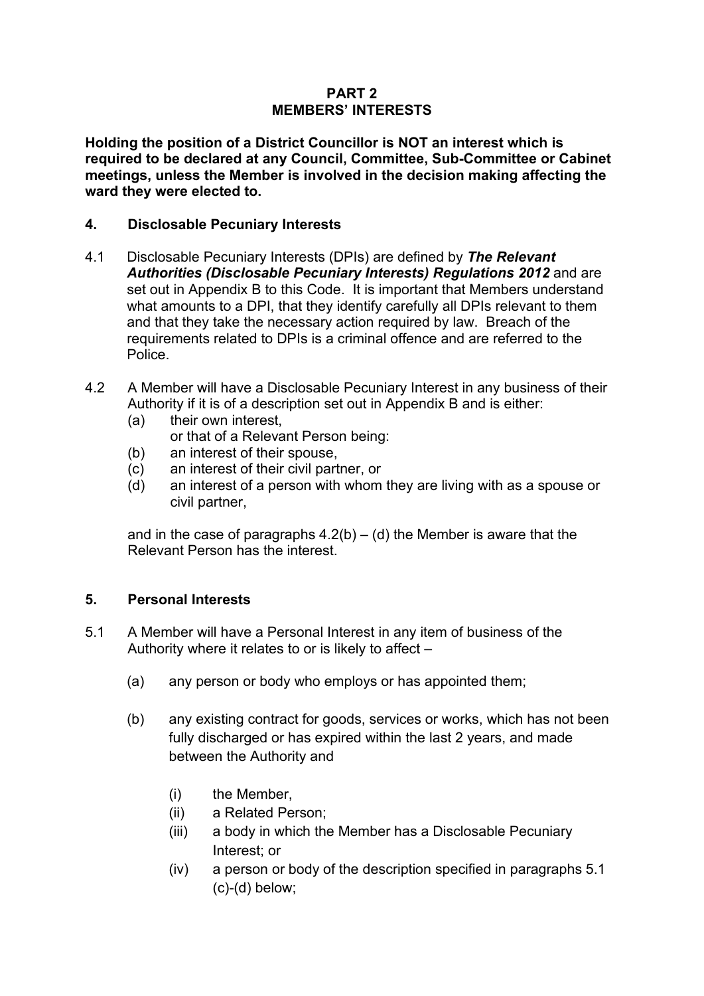### **PART 2 MEMBERS' INTERESTS**

**Holding the position of a District Councillor is NOT an interest which is required to be declared at any Council, Committee, Sub-Committee or Cabinet meetings, unless the Member is involved in the decision making affecting the ward they were elected to.** 

### **4. Disclosable Pecuniary Interests**

- 4.1 Disclosable Pecuniary Interests (DPIs) are defined by *The Relevant Authorities (Disclosable Pecuniary Interests) Regulations 2012* and are set out in Appendix B to this Code. It is important that Members understand what amounts to a DPI, that they identify carefully all DPIs relevant to them and that they take the necessary action required by law. Breach of the requirements related to DPIs is a criminal offence and are referred to the Police.
- 4.2 A Member will have a Disclosable Pecuniary Interest in any business of their Authority if it is of a description set out in Appendix B and is either:
	- (a) their own interest,
		- or that of a Relevant Person being:
	- (b) an interest of their spouse,
	- (c) an interest of their civil partner, or
	- (d) an interest of a person with whom they are living with as a spouse or civil partner,

and in the case of paragraphs  $4.2(b) - (d)$  the Member is aware that the Relevant Person has the interest.

### **5. Personal Interests**

- 5.1 A Member will have a Personal Interest in any item of business of the Authority where it relates to or is likely to affect –
	- (a) any person or body who employs or has appointed them;
	- (b) any existing contract for goods, services or works, which has not been fully discharged or has expired within the last 2 years, and made between the Authority and
		- (i) the Member,
		- (ii) a Related Person;
		- (iii) a body in which the Member has a Disclosable Pecuniary Interest; or
		- (iv) a person or body of the description specified in paragraphs 5.1 (c)-(d) below;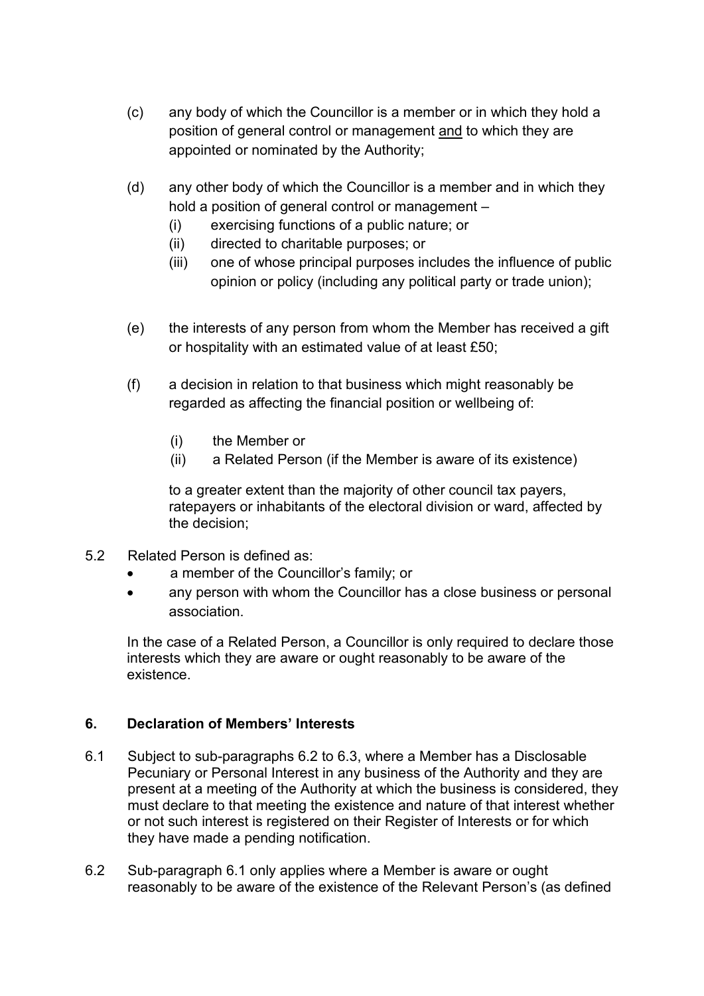- (c) any body of which the Councillor is a member or in which they hold a position of general control or management and to which they are appointed or nominated by the Authority;
- (d) any other body of which the Councillor is a member and in which they hold a position of general control or management –
	- (i) exercising functions of a public nature; or
	- (ii) directed to charitable purposes; or
	- (iii) one of whose principal purposes includes the influence of public opinion or policy (including any political party or trade union);
- (e) the interests of any person from whom the Member has received a gift or hospitality with an estimated value of at least £50;
- (f) a decision in relation to that business which might reasonably be regarded as affecting the financial position or wellbeing of:
	- (i) the Member or
	- (ii) a Related Person (if the Member is aware of its existence)

to a greater extent than the majority of other council tax payers, ratepayers or inhabitants of the electoral division or ward, affected by the decision;

- 5.2 Related Person is defined as:
	- a member of the Councillor's family; or
	- any person with whom the Councillor has a close business or personal association.

In the case of a Related Person, a Councillor is only required to declare those interests which they are aware or ought reasonably to be aware of the existence.

## **6. Declaration of Members' Interests**

- 6.1 Subject to sub-paragraphs 6.2 to 6.3, where a Member has a Disclosable Pecuniary or Personal Interest in any business of the Authority and they are present at a meeting of the Authority at which the business is considered, they must declare to that meeting the existence and nature of that interest whether or not such interest is registered on their Register of Interests or for which they have made a pending notification.
- 6.2 Sub-paragraph 6.1 only applies where a Member is aware or ought reasonably to be aware of the existence of the Relevant Person's (as defined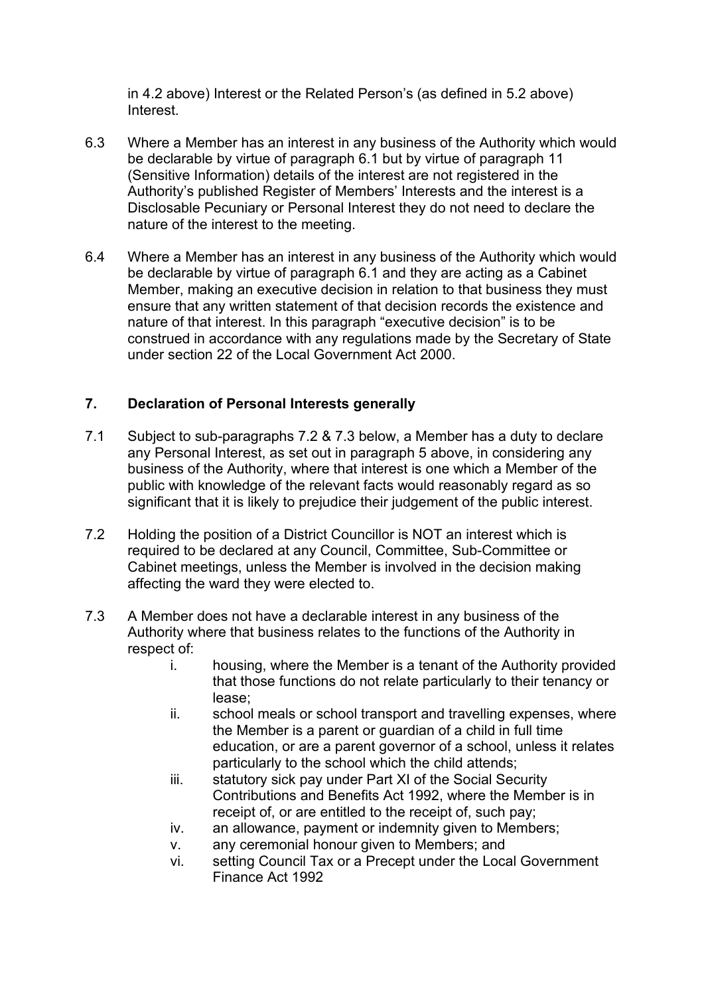in 4.2 above) Interest or the Related Person's (as defined in 5.2 above) Interest.

- 6.3 Where a Member has an interest in any business of the Authority which would be declarable by virtue of paragraph 6.1 but by virtue of paragraph 11 (Sensitive Information) details of the interest are not registered in the Authority's published Register of Members' Interests and the interest is a Disclosable Pecuniary or Personal Interest they do not need to declare the nature of the interest to the meeting.
- 6.4 Where a Member has an interest in any business of the Authority which would be declarable by virtue of paragraph 6.1 and they are acting as a Cabinet Member, making an executive decision in relation to that business they must ensure that any written statement of that decision records the existence and nature of that interest. In this paragraph "executive decision" is to be construed in accordance with any regulations made by the Secretary of State under section 22 of the Local Government Act 2000.

## **7. Declaration of Personal Interests generally**

- 7.1 Subject to sub-paragraphs 7.2 & 7.3 below, a Member has a duty to declare any Personal Interest, as set out in paragraph 5 above, in considering any business of the Authority, where that interest is one which a Member of the public with knowledge of the relevant facts would reasonably regard as so significant that it is likely to prejudice their judgement of the public interest.
- 7.2 Holding the position of a District Councillor is NOT an interest which is required to be declared at any Council, Committee, Sub-Committee or Cabinet meetings, unless the Member is involved in the decision making affecting the ward they were elected to.
- 7.3 A Member does not have a declarable interest in any business of the Authority where that business relates to the functions of the Authority in respect of:
	- i. housing, where the Member is a tenant of the Authority provided that those functions do not relate particularly to their tenancy or lease;
	- ii. school meals or school transport and travelling expenses, where the Member is a parent or guardian of a child in full time education, or are a parent governor of a school, unless it relates particularly to the school which the child attends;
	- iii. statutory sick pay under Part XI of the Social Security Contributions and Benefits Act 1992, where the Member is in receipt of, or are entitled to the receipt of, such pay;
	- iv. an allowance, payment or indemnity given to Members;
	- v. any ceremonial honour given to Members; and
	- vi. setting Council Tax or a Precept under the Local Government Finance Act 1992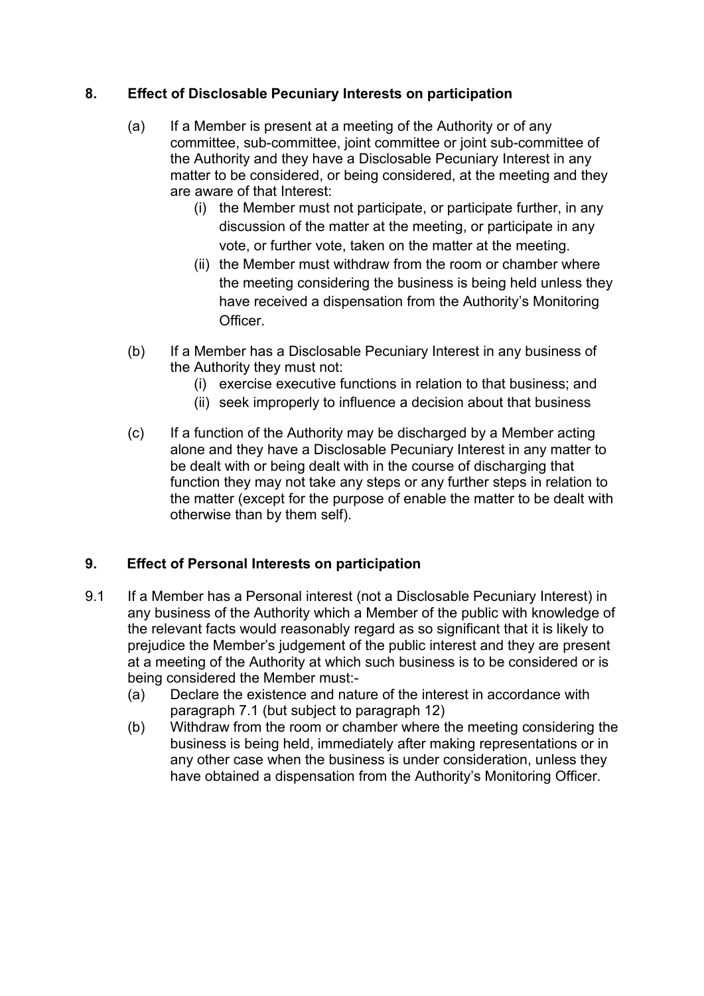## **8. Effect of Disclosable Pecuniary Interests on participation**

- (a) If a Member is present at a meeting of the Authority or of any committee, sub-committee, joint committee or joint sub-committee of the Authority and they have a Disclosable Pecuniary Interest in any matter to be considered, or being considered, at the meeting and they are aware of that Interest:
	- (i) the Member must not participate, or participate further, in any discussion of the matter at the meeting, or participate in any vote, or further vote, taken on the matter at the meeting.
	- (ii) the Member must withdraw from the room or chamber where the meeting considering the business is being held unless they have received a dispensation from the Authority's Monitoring **Officer**
- (b) If a Member has a Disclosable Pecuniary Interest in any business of the Authority they must not:
	- (i) exercise executive functions in relation to that business; and
	- (ii) seek improperly to influence a decision about that business
- (c) If a function of the Authority may be discharged by a Member acting alone and they have a Disclosable Pecuniary Interest in any matter to be dealt with or being dealt with in the course of discharging that function they may not take any steps or any further steps in relation to the matter (except for the purpose of enable the matter to be dealt with otherwise than by them self).

# **9. Effect of Personal Interests on participation**

- 9.1 If a Member has a Personal interest (not a Disclosable Pecuniary Interest) in any business of the Authority which a Member of the public with knowledge of the relevant facts would reasonably regard as so significant that it is likely to prejudice the Member's judgement of the public interest and they are present at a meeting of the Authority at which such business is to be considered or is being considered the Member must:-
	- (a) Declare the existence and nature of the interest in accordance with paragraph 7.1 (but subject to paragraph 12)
	- (b) Withdraw from the room or chamber where the meeting considering the business is being held, immediately after making representations or in any other case when the business is under consideration, unless they have obtained a dispensation from the Authority's Monitoring Officer.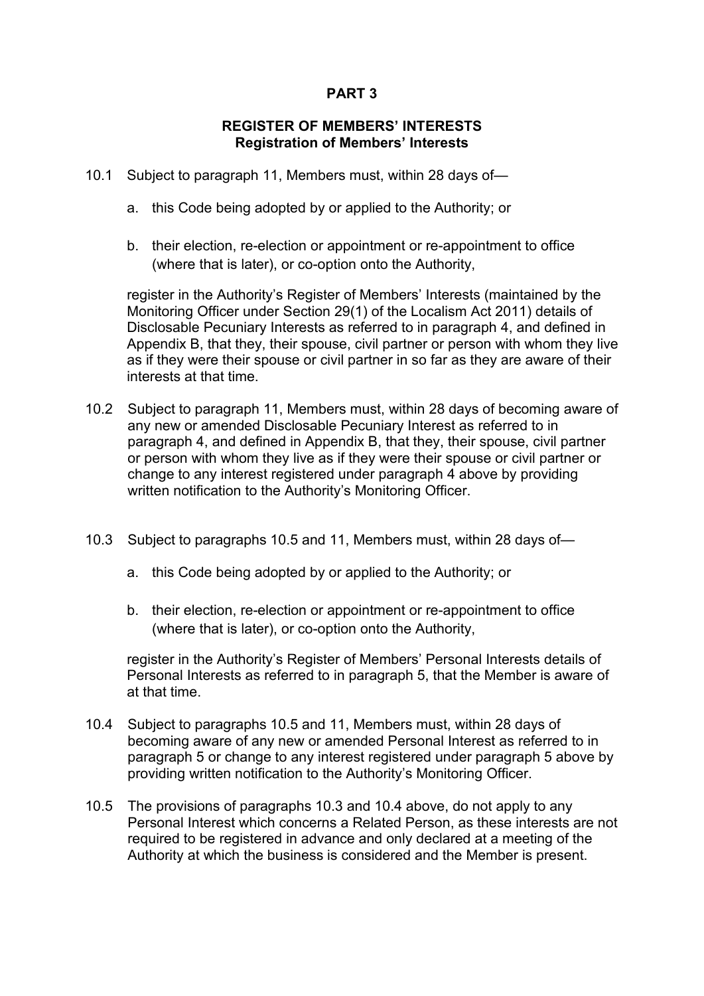### **PART 3**

#### **REGISTER OF MEMBERS' INTERESTS Registration of Members' Interests**

- 10.1 Subject to paragraph 11, Members must, within 28 days of
	- a. this Code being adopted by or applied to the Authority; or
	- b. their election, re-election or appointment or re-appointment to office (where that is later), or co-option onto the Authority,

register in the Authority's Register of Members' Interests (maintained by the Monitoring Officer under Section 29(1) of the Localism Act 2011) details of Disclosable Pecuniary Interests as referred to in paragraph 4, and defined in Appendix B, that they, their spouse, civil partner or person with whom they live as if they were their spouse or civil partner in so far as they are aware of their interests at that time.

- 10.2 Subject to paragraph 11, Members must, within 28 days of becoming aware of any new or amended Disclosable Pecuniary Interest as referred to in paragraph 4, and defined in Appendix B, that they, their spouse, civil partner or person with whom they live as if they were their spouse or civil partner or change to any interest registered under paragraph 4 above by providing written notification to the Authority's Monitoring Officer.
- 10.3 Subject to paragraphs 10.5 and 11, Members must, within 28 days of
	- a. this Code being adopted by or applied to the Authority; or
	- b. their election, re-election or appointment or re-appointment to office (where that is later), or co-option onto the Authority,

register in the Authority's Register of Members' Personal Interests details of Personal Interests as referred to in paragraph 5, that the Member is aware of at that time.

- 10.4 Subject to paragraphs 10.5 and 11, Members must, within 28 days of becoming aware of any new or amended Personal Interest as referred to in paragraph 5 or change to any interest registered under paragraph 5 above by providing written notification to the Authority's Monitoring Officer.
- 10.5 The provisions of paragraphs 10.3 and 10.4 above, do not apply to any Personal Interest which concerns a Related Person, as these interests are not required to be registered in advance and only declared at a meeting of the Authority at which the business is considered and the Member is present.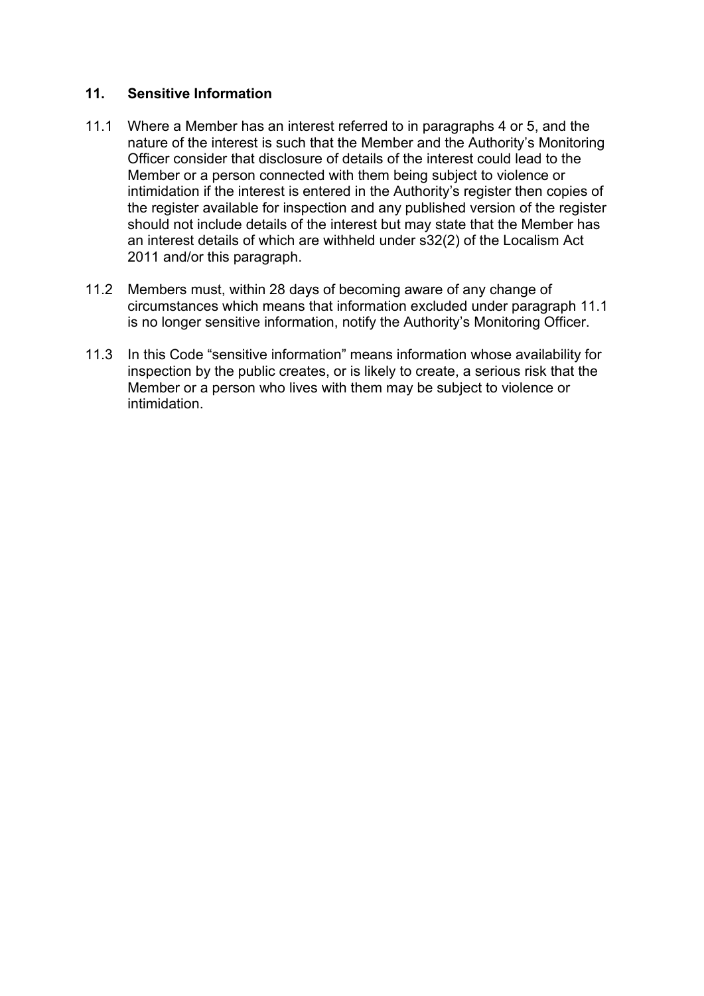### **11. Sensitive Information**

- 11.1 Where a Member has an interest referred to in paragraphs 4 or 5, and the nature of the interest is such that the Member and the Authority's Monitoring Officer consider that disclosure of details of the interest could lead to the Member or a person connected with them being subject to violence or intimidation if the interest is entered in the Authority's register then copies of the register available for inspection and any published version of the register should not include details of the interest but may state that the Member has an interest details of which are withheld under s32(2) of the Localism Act 2011 and/or this paragraph.
- 11.2 Members must, within 28 days of becoming aware of any change of circumstances which means that information excluded under paragraph 11.1 is no longer sensitive information, notify the Authority's Monitoring Officer.
- 11.3 In this Code "sensitive information" means information whose availability for inspection by the public creates, or is likely to create, a serious risk that the Member or a person who lives with them may be subject to violence or intimidation.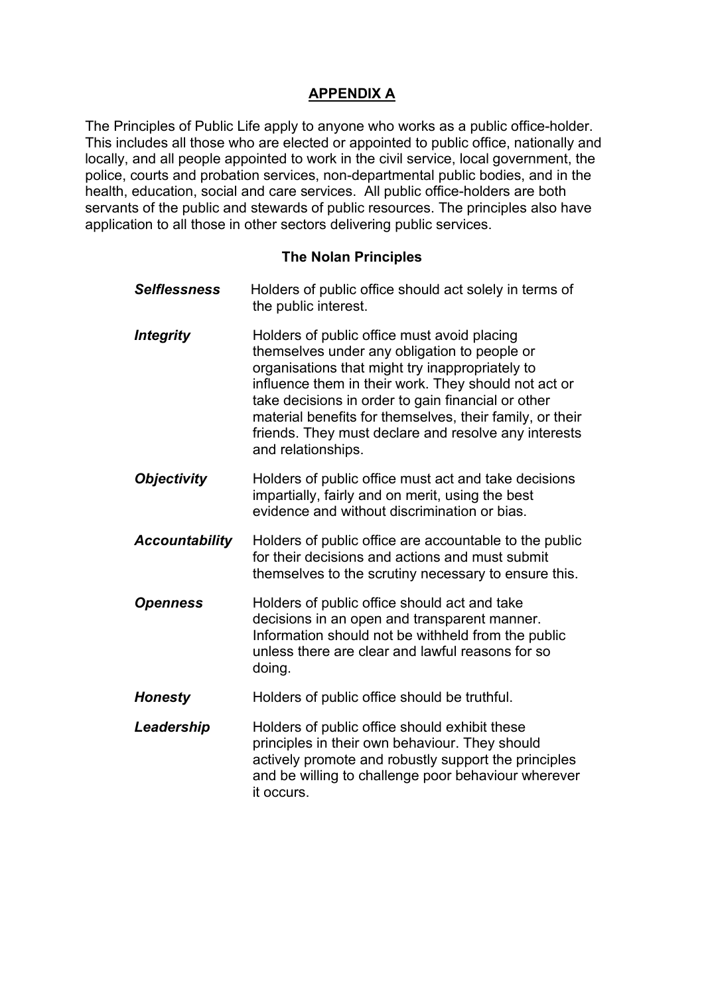# **APPENDIX A**

The Principles of Public Life apply to anyone who works as a public office-holder. This includes all those who are elected or appointed to public office, nationally and locally, and all people appointed to work in the civil service, local government, the police, courts and probation services, non-departmental public bodies, and in the health, education, social and care services. All public office-holders are both servants of the public and stewards of public resources. The principles also have application to all those in other sectors delivering public services.

### **The Nolan Principles**

| <b>Selflessness</b>   | Holders of public office should act solely in terms of<br>the public interest.                                                                                                                                                                                                                                                                                                                         |
|-----------------------|--------------------------------------------------------------------------------------------------------------------------------------------------------------------------------------------------------------------------------------------------------------------------------------------------------------------------------------------------------------------------------------------------------|
| <b>Integrity</b>      | Holders of public office must avoid placing<br>themselves under any obligation to people or<br>organisations that might try inappropriately to<br>influence them in their work. They should not act or<br>take decisions in order to gain financial or other<br>material benefits for themselves, their family, or their<br>friends. They must declare and resolve any interests<br>and relationships. |
| <b>Objectivity</b>    | Holders of public office must act and take decisions<br>impartially, fairly and on merit, using the best<br>evidence and without discrimination or bias.                                                                                                                                                                                                                                               |
| <b>Accountability</b> | Holders of public office are accountable to the public<br>for their decisions and actions and must submit<br>themselves to the scrutiny necessary to ensure this.                                                                                                                                                                                                                                      |
| <b>Openness</b>       | Holders of public office should act and take<br>decisions in an open and transparent manner.<br>Information should not be withheld from the public<br>unless there are clear and lawful reasons for so<br>doing.                                                                                                                                                                                       |
| <b>Honesty</b>        | Holders of public office should be truthful.                                                                                                                                                                                                                                                                                                                                                           |
| Leadership            | Holders of public office should exhibit these<br>principles in their own behaviour. They should<br>actively promote and robustly support the principles<br>and be willing to challenge poor behaviour wherever<br>it occurs.                                                                                                                                                                           |